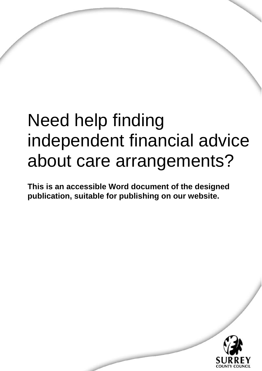# Need help finding independent financial advice about care arrangements?

**This is an accessible Word document of the designed publication, suitable for publishing on our website.** 

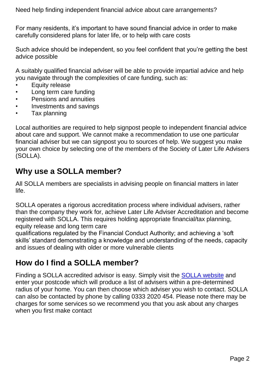Need help finding independent financial advice about care arrangements?

For many residents, it's important to have sound financial advice in order to make carefully considered plans for later life, or to help with care costs

Such advice should be independent, so you feel confident that you're getting the best advice possible

A suitably qualified financial adviser will be able to provide impartial advice and help you navigate through the complexities of care funding, such as:

- Equity release
- Long term care funding
- Pensions and annuities
- Investments and savings
- Tax planning

Local authorities are required to help signpost people to independent financial advice about care and support. We cannot make a recommendation to use one particular financial adviser but we can signpost you to sources of help. We suggest you make your own choice by selecting one of the members of the Society of Later Life Advisers (SOLLA).

#### **Why use a SOLLA member?**

All SOLLA members are specialists in advising people on financial matters in later life.

SOLLA operates a rigorous accreditation process where individual advisers, rather than the company they work for, achieve Later Life Adviser Accreditation and become registered with SOLLA. This requires holding appropriate financial/tax planning, equity release and long term care

qualifications regulated by the Financial Conduct Authority; and achieving a 'soft skills' standard demonstrating a knowledge and understanding of the needs, capacity and issues of dealing with older or more vulnerable clients

### **How do I find a SOLLA member?**

Finding a SOLLA accredited advisor is easy. Simply visit the **SOLLA website** and enter your postcode which will produce a list of advisers within a pre-determined radius of your home. You can then choose which adviser you wish to contact. SOLLA can also be contacted by phone by calling 0333 2020 454. Please note there may be charges for some services so we recommend you that you ask about any charges when you first make contact